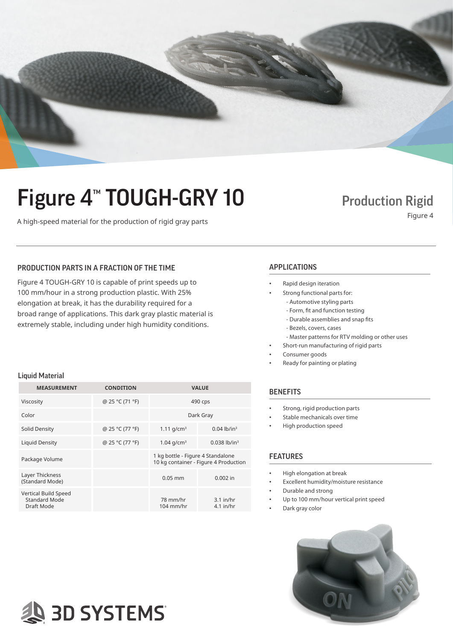

# Figure 4<sup>™</sup> TOUGH-GRY 10 Production Rigid

## A high-speed material for the production of rigid gray parts Figure 4

### PRODUCTION PARTS IN A FRACTION OF THE TIME APPLICATIONS

Figure 4 TOUGH-GRY 10 is capable of print speeds up to 100 mm/hour in a strong production plastic. With 25% elongation at break, it has the durability required for a broad range of applications. This dark gray plastic material is extremely stable, including under high humidity conditions.

- Rapid design iteration
	- Strong functional parts for:
		- Automotive styling parts
		- Form, fit and function testing
		- Durable assemblies and snap fits
		- Bezels, covers, cases
	- Master patterns for RTV molding or other uses
- Short-run manufacturing of rigid parts
- Consumer goods
- Ready for painting or plating

### **BENEFITS**

- Strong, rigid production parts
- Stable mechanicals over time
- High production speed

#### FEATURES

- High elongation at break
- Excellent humidity/moisture resistance
- Durable and strong
- Up to 100 mm/hour vertical print speed
- Dark gray color



#### Liquid Material

| <b>MEASUREMENT</b>                                         | <b>CONDITION</b> | <b>VALUE</b>                                                               |                            |
|------------------------------------------------------------|------------------|----------------------------------------------------------------------------|----------------------------|
| Viscosity                                                  | @ 25 °C (71 °F)  | 490 cps                                                                    |                            |
| Color                                                      |                  | Dark Gray                                                                  |                            |
| Solid Density                                              | @ 25 °C (77 °F)  | 1.11 $q/cm^3$                                                              | $0.04$ lb/in <sup>3</sup>  |
| Liquid Density                                             | @ 25 °C (77 °F)  | $1.04$ g/cm <sup>3</sup>                                                   | $0.038$ lb/in <sup>3</sup> |
| Package Volume                                             |                  | 1 kg bottle - Figure 4 Standalone<br>10 kg container - Figure 4 Production |                            |
| Layer Thickness<br>(Standard Mode)                         |                  | $0.05$ mm                                                                  | $0.002$ in                 |
| Vertical Build Speed<br><b>Standard Mode</b><br>Draft Mode |                  | 78 mm/hr<br>$104$ mm/hr                                                    | $3.1$ in/hr<br>$4.1$ in/hr |